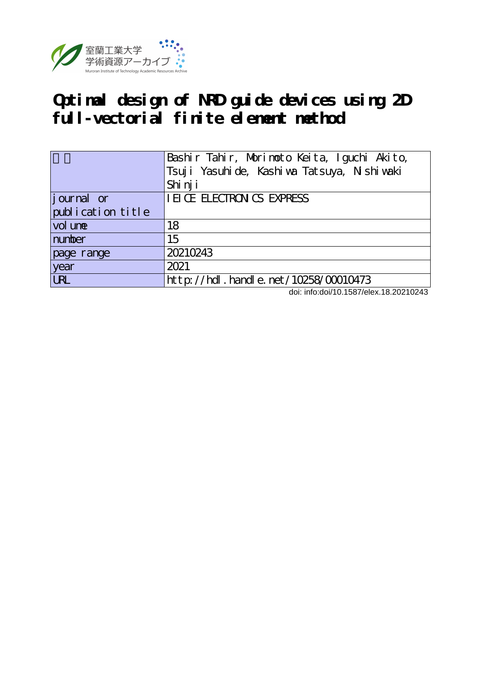

# **Optimal design of NRD guide devices using 2D full-vectorial finite element method**

|                   | Bashir Tahir, Morimoto Keita, Iguchi Akito,<br>Tsuji Yasuhi de, Kashi wa Tatsuya, Nishi waki<br>Shi nj i |
|-------------------|----------------------------------------------------------------------------------------------------------|
| journal or        | <b>IEICE ELECTRON CS EXPRESS</b>                                                                         |
| publication title |                                                                                                          |
| vol une           | 18                                                                                                       |
| number            | 15                                                                                                       |
| page range        | 20210243                                                                                                 |
| year              | 2021                                                                                                     |
| <b>URL</b>        | $http://hdl. handle. net/10258/00010473$                                                                 |

doi: info:doi/10.1587/elex.18.20210243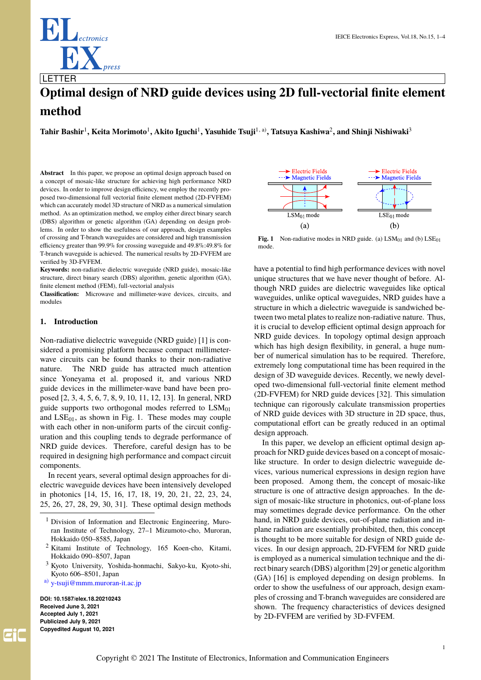

# **Optimal design of NRD guide devices using 2D full-vectorial finite element method**

 $\bf{T}$ ahir Bashir<sup>1</sup>, Keita Morimoto<sup>1</sup>, Akito Iguchi<sup>1</sup>, Yasuhide Tsuji<sup>1, a)</sup>, Tatsuya Kashiwa<sup>2</sup>, and Shinji Nishiwaki<sup>3</sup>

**Abstract** In this paper, we propose an optimal design approach based on a concept of mosaic-like structure for achieving high performance NRD devices. In order to improve design efficiency, we employ the recently proposed two-dimensional full vectorial finite element method (2D-FVFEM) which can accurately model 3D structure of NRD as a numerical simulation method. As an optimization method, we employ either direct binary search (DBS) algorithm or genetic algorithm (GA) depending on design problems. In order to show the usefulness of our approach, design examples of crossing and T-branch waveguides are considered and high transmission efficiency greater than 99.9% for crossing waveguide and 49.8%:49.8% for T-branch waveguide is achieved. The numerical results by 2D-FVFEM are verified by 3D-FVFEM.

**Keywords:** non-radiative dielectric waveguide (NRD guide), mosaic-like structure, direct binary search (DBS) algorithm, genetic algorithm (GA), finite element method (FEM), full-vectorial analysis

**Classification:** Microwave and millimeter-wave devices, circuits, and modules

# **1. Introduction**

Non-radiative dielectric waveguide (NRD guide) [1] is considered a promising platform because compact millimeterwave circuits can be found thanks to their non-radiative nature. The NRD guide has attracted much attention since Yoneyama et al. proposed it, and various NRD guide devices in the millimeter-wave band have been proposed [2, 3, 4, 5, 6, 7, 8, 9, 10, 11, 12, 13]. In general, NRD guide supports two orthogonal modes referred to  $LSM<sub>01</sub>$ and  $LSE_{01}$ , as shown in Fig. 1. These modes may couple with each other in non-uniform parts of the circuit configuration and this coupling tends to degrade performance of NRD guide devices. Therefore, careful design has to be required in designing high performance and compact circuit components.

In recent years, several optimal design approaches for dielectric waveguide devices have been intensively developed in photonics [14, 15, 16, 17, 18, 19, 20, 21, 22, 23, 24, 25, 26, 27, 28, 29, 30, 31]. These optimal design methods

- <sup>2</sup> Kitami Institute of Technology, 165 Koen-cho, Kitami, Hokkaido 090–8507, Japan
- <sup>3</sup> Kyoto University, Yoshida-honmachi, Sakyo-ku, Kyoto-shi, Kyoto 606–8501, Japan
- a) [y-tsuji@mmm.muroran-it.ac.jp](mailto:y-tsuji@mmm.muroran-it.ac.jp)

**DOI: 10.1587/elex.18.20210243 Received June 3, 2021 Accepted July 1, 2021 Publicized July 9, 2021 Copyedited August 10, 2021**



**Fig. 1** Non-radiative modes in NRD guide. (a)  $LSM<sub>01</sub>$  and (b)  $LSE<sub>01</sub>$ mode.

have a potential to find high performance devices with novel unique structures that we have never thought of before. Although NRD guides are dielectric waveguides like optical waveguides, unlike optical waveguides, NRD guides have a structure in which a dielectric waveguide is sandwiched between two metal plates to realize non-radiative nature. Thus, it is crucial to develop efficient optimal design approach for NRD guide devices. In topology optimal design approach which has high design flexibility, in general, a huge number of numerical simulation has to be required. Therefore, extremely long computational time has been required in the design of 3D waveguide devices. Recently, we newly developed two-dimensional full-vectorial finite element method (2D-FVFEM) for NRD guide devices [32]. This simulation technique can rigorously calculate transmission properties of NRD guide devices with 3D structure in 2D space, thus, computational effort can be greatly reduced in an optimal design approach.

In this paper, we develop an efficient optimal design approach for NRD guide devices based on a concept of mosaiclike structure. In order to design dielectric waveguide devices, various numerical expressions in design region have been proposed. Among them, the concept of mosaic-like structure is one of attractive design approaches. In the design of mosaic-like structure in photonics, out-of-plane loss may sometimes degrade device performance. On the other hand, in NRD guide devices, out-of-plane radiation and inplane radiation are essentially prohibited, then, this concept is thought to be more suitable for design of NRD guide devices. In our design approach, 2D-FVFEM for NRD guide is employed as a numerical simulation technique and the direct binary search (DBS) algorithm [29] or genetic algorithm (GA) [16] is employed depending on design problems. In order to show the usefulness of our approach, design examples of crossing and T-branch waveguides are considered are shown. The frequency characteristics of devices designed by 2D-FVFEM are verified by 3D-FVFEM.

<sup>&</sup>lt;sup>1</sup> Division of Information and Electronic Engineering, Muroran Institute of Technology, 27–1 Mizumoto-cho, Muroran, Hokkaido 050–8585, Japan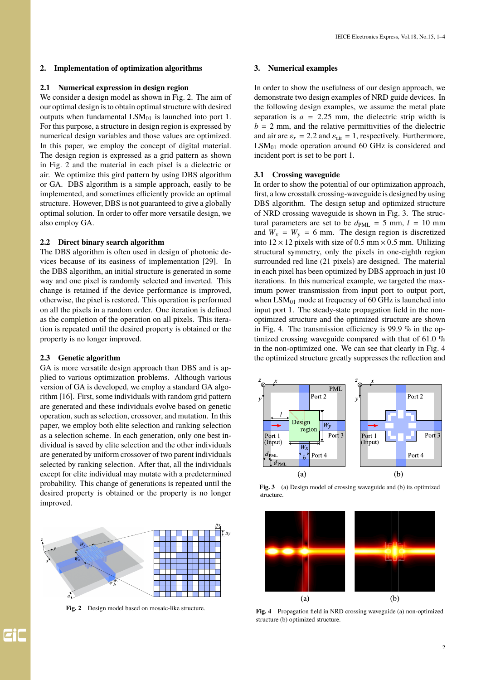# **2. Implementation of optimization algorithms**

# **2.1 Numerical expression in design region**

We consider a design model as shown in Fig. 2. The aim of our optimal design is to obtain optimal structure with desired outputs when fundamental  $LSM<sub>01</sub>$  is launched into port 1. For this purpose, a structure in design region is expressed by numerical design variables and those values are optimized. In this paper, we employ the concept of digital material. The design region is expressed as a grid pattern as shown in Fig. 2 and the material in each pixel is a dielectric or air. We optimize this gird pattern by using DBS algorithm or GA. DBS algorithm is a simple approach, easily to be implemented, and sometimes efficiently provide an optimal structure. However, DBS is not guaranteed to give a globally optimal solution. In order to offer more versatile design, we also employ GA.

# **2.2 Direct binary search algorithm**

The DBS algorithm is often used in design of photonic devices because of its easiness of implementation [29]. In the DBS algorithm, an initial structure is generated in some way and one pixel is randomly selected and inverted. This change is retained if the device performance is improved, otherwise, the pixel is restored. This operation is performed on all the pixels in a random order. One iteration is defined as the completion of the operation on all pixels. This iteration is repeated until the desired property is obtained or the property is no longer improved.

# **2.3 Genetic algorithm**

GA is more versatile design approach than DBS and is applied to various optimization problems. Although various version of GA is developed, we employ a standard GA algorithm [16]. First, some individuals with random grid pattern are generated and these individuals evolve based on genetic operation, such as selection, crossover, and mutation. In this paper, we employ both elite selection and ranking selection as a selection scheme. In each generation, only one best individual is saved by elite selection and the other individuals are generated by uniform crossover of two parent individuals selected by ranking selection. After that, all the individuals except for elite individual may mutate with a predetermined probability. This change of generations is repeated until the desired property is obtained or the property is no longer improved.



**Fig. 2** Design model based on mosaic-like structure.

### **3. Numerical examples**

In order to show the usefulness of our design approach, we demonstrate two design examples of NRD guide devices. In the following design examples, we assume the metal plate separation is  $a = 2.25$  mm, the dielectric strip width is  $b = 2$  mm, and the relative permittivities of the dielectric and air are  $\varepsilon_r = 2.2$  and  $\varepsilon_{\text{air}} = 1$ , respectively. Furthermore,  $LSM<sub>01</sub>$  mode operation around 60 GHz is considered and incident port is set to be port 1.

# **3.1 Crossing waveguide**

In order to show the potential of our optimization approach, first, a low crosstalk crossing-waveguide is designed by using DBS algorithm. The design setup and optimized structure of NRD crossing waveguide is shown in Fig. 3. The structural parameters are set to be  $d_{PML} = 5$  mm,  $l = 10$  mm and  $W_x = W_y = 6$  mm. The design region is discretized into  $12 \times 12$  pixels with size of 0.5 mm  $\times$  0.5 mm. Utilizing structural symmetry, only the pixels in one-eighth region surrounded red line (21 pixels) are designed. The material in each pixel has been optimized by DBS approach in just 10 iterations. In this numerical example, we targeted the maximum power transmission from input port to output port, when  $LSM<sub>01</sub>$  mode at frequency of 60 GHz is launched into input port 1. The steady-state propagation field in the nonoptimized structure and the optimized structure are shown in Fig. 4. The transmission efficiency is 99.9 % in the optimized crossing waveguide compared with that of 61.0 % in the non-optimized one. We can see that clearly in Fig. 4 the optimized structure greatly suppresses the reflection and



Fig. 3 (a) Design model of crossing waveguide and (b) its optimized structure.



**Fig. 4** Propagation field in NRD crossing waveguide (a) non-optimized structure (b) optimized structure.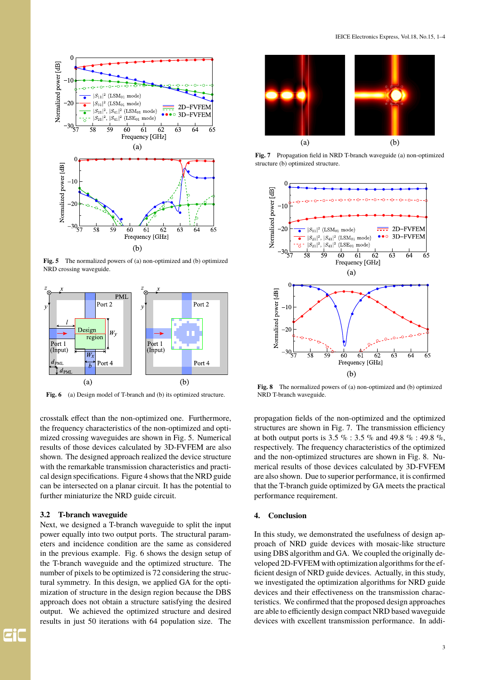

**Fig. 5** The normalized powers of (a) non-optimized and (b) optimized NRD crossing waveguide.



**Fig. 6** (a) Design model of T-branch and (b) its optimized structure.

crosstalk effect than the non-optimized one. Furthermore, the frequency characteristics of the non-optimized and optimized crossing waveguides are shown in Fig. 5. Numerical results of those devices calculated by 3D-FVFEM are also shown. The designed approach realized the device structure with the remarkable transmission characteristics and practical design specifications. Figure 4 shows that the NRD guide can be intersected on a planar circuit. It has the potential to further miniaturize the NRD guide circuit.

# **3.2 T-branch waveguide**

Next, we designed a T-branch waveguide to split the input power equally into two output ports. The structural parameters and incidence condition are the same as considered in the previous example. Fig. 6 shows the design setup of the T-branch waveguide and the optimized structure. The number of pixels to be optimized is 72 considering the structural symmetry. In this design, we applied GA for the optimization of structure in the design region because the DBS approach does not obtain a structure satisfying the desired output. We achieved the optimized structure and desired results in just 50 iterations with 64 population size. The



**Fig. 7** Propagation field in NRD T-branch waveguide (a) non-optimized structure (b) optimized structure.



**Fig. 8** The normalized powers of (a) non-optimized and (b) optimized NRD T-branch waveguide.

propagation fields of the non-optimized and the optimized structures are shown in Fig. 7. The transmission efficiency at both output ports is 3.5 % : 3.5 % and 49.8 % : 49.8 %, respectively. The frequency characteristics of the optimized and the non-optimized structures are shown in Fig. 8. Numerical results of those devices calculated by 3D-FVFEM are also shown. Due to superior performance, it is confirmed that the T-branch guide optimized by GA meets the practical performance requirement.

# **4. Conclusion**

In this study, we demonstrated the usefulness of design approach of NRD guide devices with mosaic-like structure using DBS algorithm and GA. We coupled the originally developed 2D-FVFEM with optimization algorithms for the efficient design of NRD guide devices. Actually, in this study, we investigated the optimization algorithms for NRD guide devices and their effectiveness on the transmission characteristics. We confirmed that the proposed design approaches are able to efficiently design compact NRD based waveguide devices with excellent transmission performance. In addi